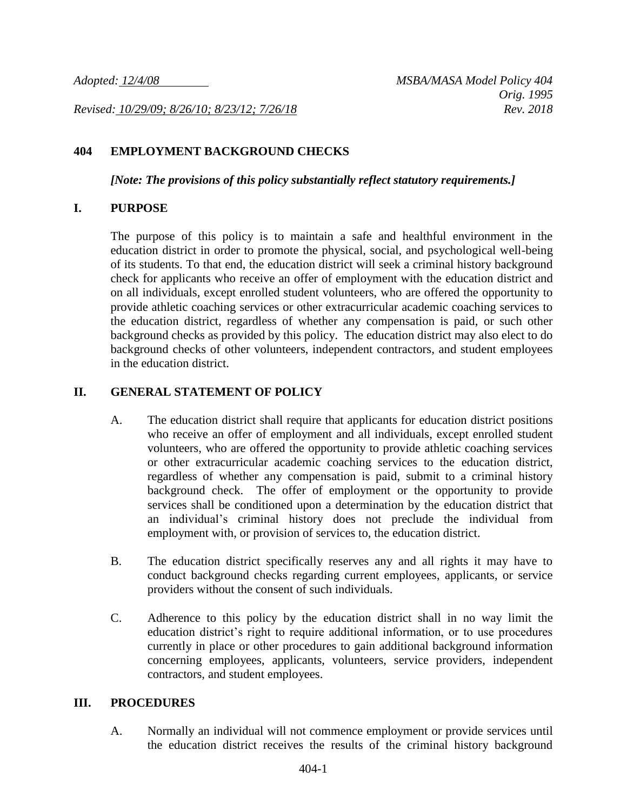*Revised: 10/29/09; 8/26/10; 8/23/12; 7/26/18 Rev. 2018*

## **404 EMPLOYMENT BACKGROUND CHECKS**

*[Note: The provisions of this policy substantially reflect statutory requirements.]*

#### **I. PURPOSE**

The purpose of this policy is to maintain a safe and healthful environment in the education district in order to promote the physical, social, and psychological well-being of its students. To that end, the education district will seek a criminal history background check for applicants who receive an offer of employment with the education district and on all individuals, except enrolled student volunteers, who are offered the opportunity to provide athletic coaching services or other extracurricular academic coaching services to the education district, regardless of whether any compensation is paid, or such other background checks as provided by this policy. The education district may also elect to do background checks of other volunteers, independent contractors, and student employees in the education district.

### **II. GENERAL STATEMENT OF POLICY**

- A. The education district shall require that applicants for education district positions who receive an offer of employment and all individuals, except enrolled student volunteers, who are offered the opportunity to provide athletic coaching services or other extracurricular academic coaching services to the education district, regardless of whether any compensation is paid, submit to a criminal history background check. The offer of employment or the opportunity to provide services shall be conditioned upon a determination by the education district that an individual's criminal history does not preclude the individual from employment with, or provision of services to, the education district.
- B. The education district specifically reserves any and all rights it may have to conduct background checks regarding current employees, applicants, or service providers without the consent of such individuals.
- C. Adherence to this policy by the education district shall in no way limit the education district's right to require additional information, or to use procedures currently in place or other procedures to gain additional background information concerning employees, applicants, volunteers, service providers, independent contractors, and student employees.

#### **III. PROCEDURES**

A. Normally an individual will not commence employment or provide services until the education district receives the results of the criminal history background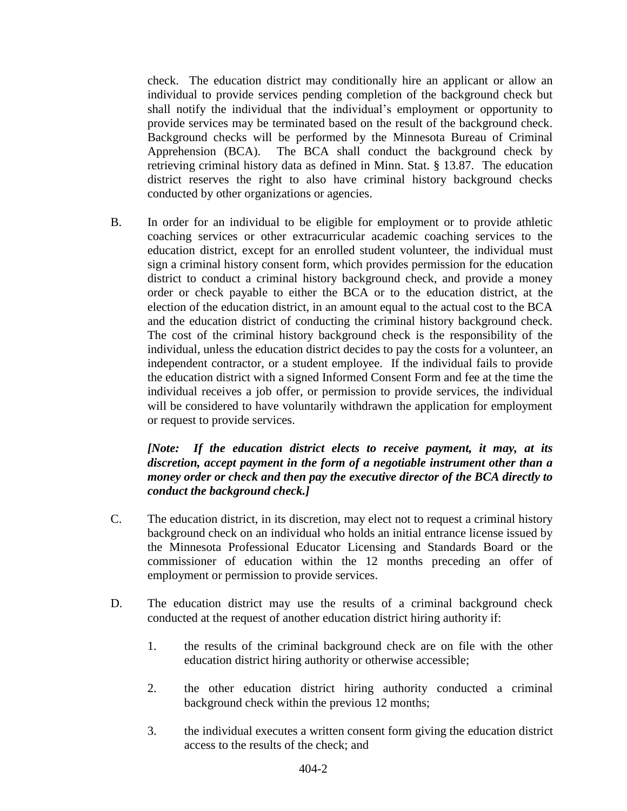check. The education district may conditionally hire an applicant or allow an individual to provide services pending completion of the background check but shall notify the individual that the individual's employment or opportunity to provide services may be terminated based on the result of the background check. Background checks will be performed by the Minnesota Bureau of Criminal Apprehension (BCA). The BCA shall conduct the background check by retrieving criminal history data as defined in Minn. Stat. § 13.87. The education district reserves the right to also have criminal history background checks conducted by other organizations or agencies.

B. In order for an individual to be eligible for employment or to provide athletic coaching services or other extracurricular academic coaching services to the education district, except for an enrolled student volunteer, the individual must sign a criminal history consent form, which provides permission for the education district to conduct a criminal history background check, and provide a money order or check payable to either the BCA or to the education district, at the election of the education district, in an amount equal to the actual cost to the BCA and the education district of conducting the criminal history background check. The cost of the criminal history background check is the responsibility of the individual, unless the education district decides to pay the costs for a volunteer, an independent contractor, or a student employee. If the individual fails to provide the education district with a signed Informed Consent Form and fee at the time the individual receives a job offer, or permission to provide services, the individual will be considered to have voluntarily withdrawn the application for employment or request to provide services.

## *[Note: If the education district elects to receive payment, it may, at its discretion, accept payment in the form of a negotiable instrument other than a money order or check and then pay the executive director of the BCA directly to conduct the background check.]*

- C. The education district, in its discretion, may elect not to request a criminal history background check on an individual who holds an initial entrance license issued by the Minnesota Professional Educator Licensing and Standards Board or the commissioner of education within the 12 months preceding an offer of employment or permission to provide services.
- D. The education district may use the results of a criminal background check conducted at the request of another education district hiring authority if:
	- 1. the results of the criminal background check are on file with the other education district hiring authority or otherwise accessible;
	- 2. the other education district hiring authority conducted a criminal background check within the previous 12 months;
	- 3. the individual executes a written consent form giving the education district access to the results of the check; and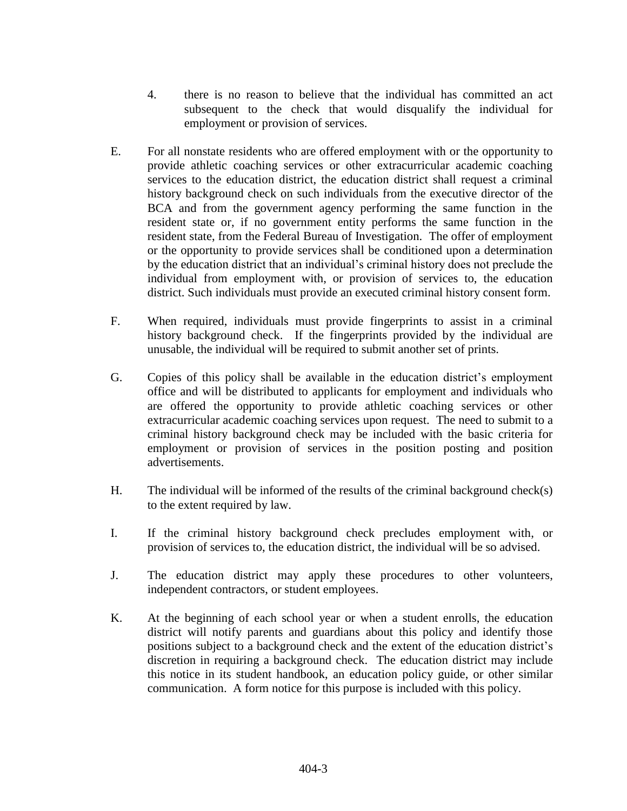- 4. there is no reason to believe that the individual has committed an act subsequent to the check that would disqualify the individual for employment or provision of services.
- E. For all nonstate residents who are offered employment with or the opportunity to provide athletic coaching services or other extracurricular academic coaching services to the education district, the education district shall request a criminal history background check on such individuals from the executive director of the BCA and from the government agency performing the same function in the resident state or, if no government entity performs the same function in the resident state, from the Federal Bureau of Investigation. The offer of employment or the opportunity to provide services shall be conditioned upon a determination by the education district that an individual's criminal history does not preclude the individual from employment with, or provision of services to, the education district. Such individuals must provide an executed criminal history consent form.
- F. When required, individuals must provide fingerprints to assist in a criminal history background check. If the fingerprints provided by the individual are unusable, the individual will be required to submit another set of prints.
- G. Copies of this policy shall be available in the education district's employment office and will be distributed to applicants for employment and individuals who are offered the opportunity to provide athletic coaching services or other extracurricular academic coaching services upon request. The need to submit to a criminal history background check may be included with the basic criteria for employment or provision of services in the position posting and position advertisements.
- H. The individual will be informed of the results of the criminal background check(s) to the extent required by law.
- I. If the criminal history background check precludes employment with, or provision of services to, the education district, the individual will be so advised.
- J. The education district may apply these procedures to other volunteers, independent contractors, or student employees.
- K. At the beginning of each school year or when a student enrolls, the education district will notify parents and guardians about this policy and identify those positions subject to a background check and the extent of the education district's discretion in requiring a background check. The education district may include this notice in its student handbook, an education policy guide, or other similar communication. A form notice for this purpose is included with this policy.